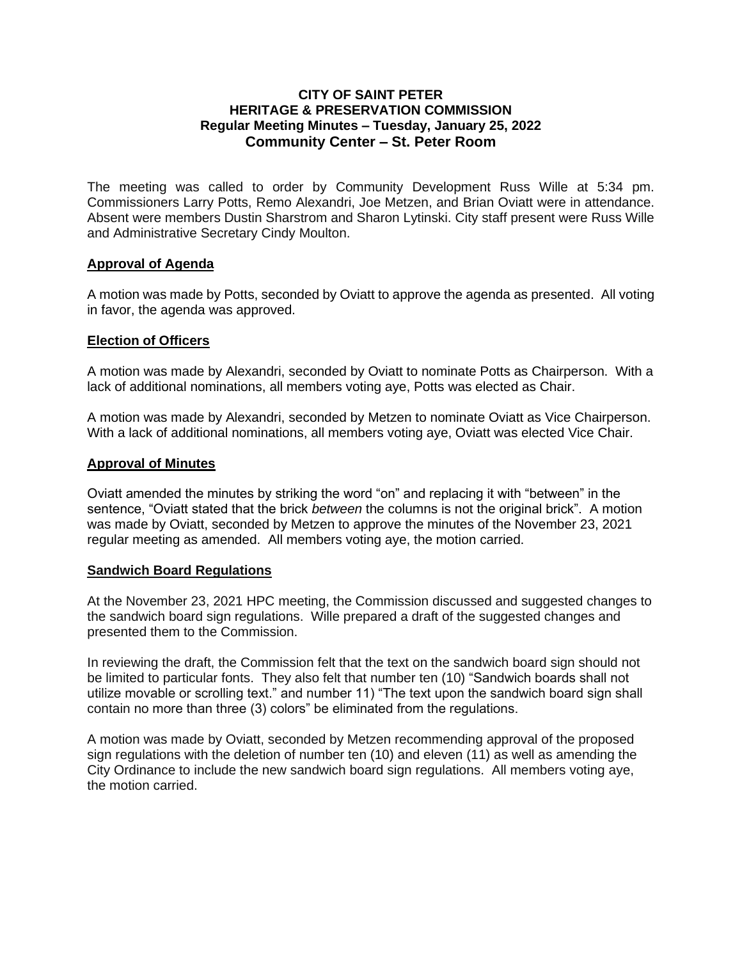## **CITY OF SAINT PETER HERITAGE & PRESERVATION COMMISSION Regular Meeting Minutes – Tuesday, January 25, 2022 Community Center – St. Peter Room**

The meeting was called to order by Community Development Russ Wille at 5:34 pm. Commissioners Larry Potts, Remo Alexandri, Joe Metzen, and Brian Oviatt were in attendance. Absent were members Dustin Sharstrom and Sharon Lytinski. City staff present were Russ Wille and Administrative Secretary Cindy Moulton.

# **Approval of Agenda**

A motion was made by Potts, seconded by Oviatt to approve the agenda as presented. All voting in favor, the agenda was approved.

#### **Election of Officers**

A motion was made by Alexandri, seconded by Oviatt to nominate Potts as Chairperson. With a lack of additional nominations, all members voting aye, Potts was elected as Chair.

A motion was made by Alexandri, seconded by Metzen to nominate Oviatt as Vice Chairperson. With a lack of additional nominations, all members voting aye, Oviatt was elected Vice Chair.

#### **Approval of Minutes**

Oviatt amended the minutes by striking the word "on" and replacing it with "between" in the sentence, "Oviatt stated that the brick *between* the columns is not the original brick". A motion was made by Oviatt, seconded by Metzen to approve the minutes of the November 23, 2021 regular meeting as amended. All members voting aye, the motion carried.

#### **Sandwich Board Regulations**

At the November 23, 2021 HPC meeting, the Commission discussed and suggested changes to the sandwich board sign regulations. Wille prepared a draft of the suggested changes and presented them to the Commission.

In reviewing the draft, the Commission felt that the text on the sandwich board sign should not be limited to particular fonts. They also felt that number ten (10) "Sandwich boards shall not utilize movable or scrolling text." and number 11) "The text upon the sandwich board sign shall contain no more than three (3) colors" be eliminated from the regulations.

A motion was made by Oviatt, seconded by Metzen recommending approval of the proposed sign regulations with the deletion of number ten (10) and eleven (11) as well as amending the City Ordinance to include the new sandwich board sign regulations. All members voting aye, the motion carried.